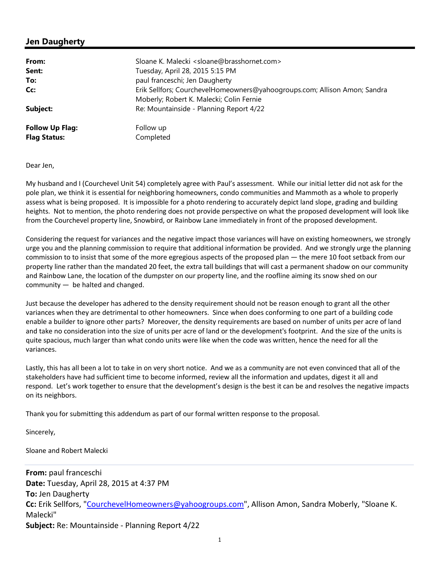# **Jen Daugherty**

| From:                                         | Sloane K. Malecki <sloane@brasshornet.com></sloane@brasshornet.com>                                                   |
|-----------------------------------------------|-----------------------------------------------------------------------------------------------------------------------|
| Sent:                                         | Tuesday, April 28, 2015 5:15 PM                                                                                       |
| To:                                           | paul franceschi; Jen Daugherty                                                                                        |
| Cc:                                           | Erik Sellfors; CourchevelHomeowners@yahoogroups.com; Allison Amon; Sandra<br>Moberly; Robert K. Malecki; Colin Fernie |
| Subject:                                      | Re: Mountainside - Planning Report 4/22                                                                               |
| <b>Follow Up Flag:</b><br><b>Flag Status:</b> | Follow up<br>Completed                                                                                                |

### Dear Jen,

My husband and I (Courchevel Unit 54) completely agree with Paul's assessment. While our initial letter did not ask for the pole plan, we think it is essential for neighboring homeowners, condo communities and Mammoth as a whole to properly assess what is being proposed. It is impossible for a photo rendering to accurately depict land slope, grading and building heights. Not to mention, the photo rendering does not provide perspective on what the proposed development will look like from the Courchevel property line, Snowbird, or Rainbow Lane immediately in front of the proposed development.

Considering the request for variances and the negative impact those variances will have on existing homeowners, we strongly urge you and the planning commission to require that additional information be provided. And we strongly urge the planning commission to to insist that some of the more egregious aspects of the proposed plan — the mere 10 foot setback from our property line rather than the mandated 20 feet, the extra tall buildings that will cast a permanent shadow on our community and Rainbow Lane, the location of the dumpster on our property line, and the roofline aiming its snow shed on our community — be halted and changed.

Just because the developer has adhered to the density requirement should not be reason enough to grant all the other variances when they are detrimental to other homeowners. Since when does conforming to one part of a building code enable a builder to ignore other parts? Moreover, the density requirements are based on number of units per acre of land and take no consideration into the size of units per acre of land or the development's footprint. And the size of the units is quite spacious, much larger than what condo units were like when the code was written, hence the need for all the variances.

Lastly, this has all been a lot to take in on very short notice. And we as a community are not even convinced that all of the stakeholders have had sufficient time to become informed, review all the information and updates, digest it all and respond. Let's work together to ensure that the development's design is the best it can be and resolves the negative impacts on its neighbors.

Thank you for submitting this addendum as part of our formal written response to the proposal.

Sincerely,

Sloane and Robert Malecki

**From:** paul franceschi **Date:** Tuesday, April 28, 2015 at 4:37 PM **To:** Jen Daugherty Cc: Erik Sellfors, "CourchevelHomeowners@yahoogroups.com", Allison Amon, Sandra Moberly, "Sloane K. Malecki" **Subject:** Re: Mountainside - Planning Report 4/22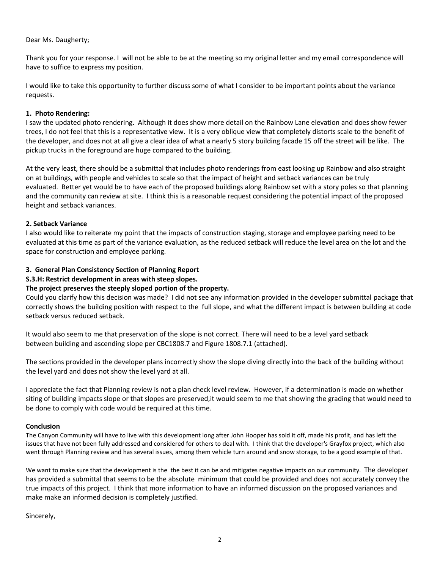# Dear Ms. Daugherty;

Thank you for your response. I will not be able to be at the meeting so my original letter and my email correspondence will have to suffice to express my position.

I would like to take this opportunity to further discuss some of what I consider to be important points about the variance requests.

### **1. Photo Rendering:**

I saw the updated photo rendering. Although it does show more detail on the Rainbow Lane elevation and does show fewer trees, I do not feel that this is a representative view. It is a very oblique view that completely distorts scale to the benefit of the developer, and does not at all give a clear idea of what a nearly 5 story building facade 15 off the street will be like. The pickup trucks in the foreground are huge compared to the building.

At the very least, there should be a submittal that includes photo renderings from east looking up Rainbow and also straight on at buildings, with people and vehicles to scale so that the impact of height and setback variances can be truly evaluated. Better yet would be to have each of the proposed buildings along Rainbow set with a story poles so that planning and the community can review at site. I think this is a reasonable request considering the potential impact of the proposed height and setback variances.

### **2. Setback Variance**

I also would like to reiterate my point that the impacts of construction staging, storage and employee parking need to be evaluated at this time as part of the variance evaluation, as the reduced setback will reduce the level area on the lot and the space for construction and employee parking.

# **3. General Plan Consistency Section of Planning Report**

# **S.3.H: Restrict development in areas with steep slopes.**

# **The project preserves the steeply sloped portion of the property.**

Could you clarify how this decision was made? I did not see any information provided in the developer submittal package that correctly shows the building position with respect to the full slope, and what the different impact is between building at code setback versus reduced setback.

It would also seem to me that preservation of the slope is not correct. There will need to be a level yard setback between building and ascending slope per CBC1808.7 and Figure 1808.7.1 (attached).

The sections provided in the developer plans incorrectly show the slope diving directly into the back of the building without the level yard and does not show the level yard at all.

I appreciate the fact that Planning review is not a plan check level review. However, if a determination is made on whether siting of building impacts slope or that slopes are preserved,it would seem to me that showing the grading that would need to be done to comply with code would be required at this time.

### **Conclusion**

The Canyon Community will have to live with this development long after John Hooper has sold it off, made his profit, and has left the issues that have not been fully addressed and considered for others to deal with. I think that the developer's Grayfox project, which also went through Planning review and has several issues, among them vehicle turn around and snow storage, to be a good example of that.

We want to make sure that the development is the the best it can be and mitigates negative impacts on our community. The developer has provided a submittal that seems to be the absolute minimum that could be provided and does not accurately convey the true impacts of this project. I think that more information to have an informed discussion on the proposed variances and make make an informed decision is completely justified.

Sincerely,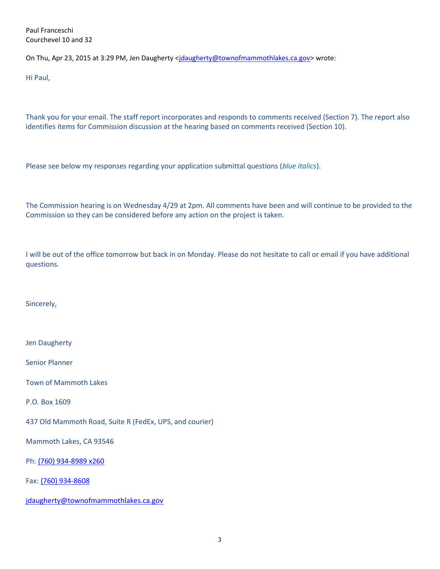Paul Franceschi Courchevel 10 and 32

On Thu, Apr 23, 2015 at 3:29 PM, Jen Daugherty <jdaugherty@townofmammothlakes.ca.gov> wrote:

Hi Paul,

Thank you for your email. The staff report incorporates and responds to comments received (Section 7). The report also identifies items for Commission discussion at the hearing based on comments received (Section 10).

Please see below my responses regarding your application submittal questions (*blue italics*).

The Commission hearing is on Wednesday 4/29 at 2pm. All comments have been and will continue to be provided to the Commission so they can be considered before any action on the project is taken.

I will be out of the office tomorrow but back in on Monday. Please do not hesitate to call or email if you have additional questions.

Sincerely,

Jen Daugherty

Senior Planner

Town of Mammoth Lakes

P.O. Box 1609

437 Old Mammoth Road, Suite R (FedEx, UPS, and courier)

Mammoth Lakes, CA 93546

Ph: (760) 934-8989 x260

Fax: (760) 934-8608

jdaugherty@townofmammothlakes.ca.gov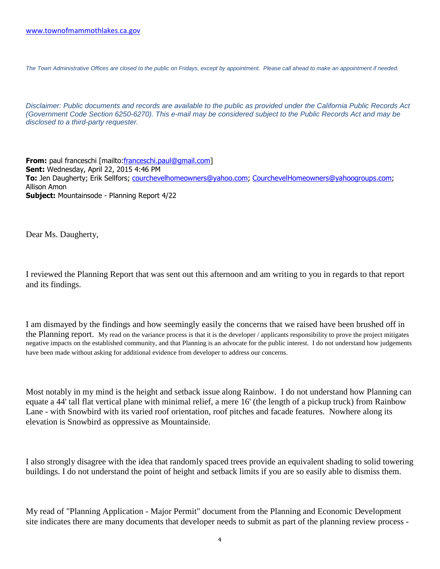*The Town Administrative Offices are closed to the public on Fridays, except by appointment. Please call ahead to make an appointment if needed.*

*Disclaimer: Public documents and records are available to the public as provided under the California Public Records Act (Government Code Section 6250-6270). This e-mail may be considered subject to the Public Records Act and may be disclosed to a third-party requester.*

**From:** paul franceschi [mailto:franceschi.paul@gmail.com] **Sent:** Wednesday, April 22, 2015 4:46 PM **To:** Jen Daugherty; Erik Sellfors; courchevelhomeowners@yahoo.com; CourchevelHomeowners@yahoogroups.com; Allison Amon **Subject:** Mountainsode - Planning Report 4/22

Dear Ms. Daugherty,

I reviewed the Planning Report that was sent out this afternoon and am writing to you in regards to that report and its findings.

I am dismayed by the findings and how seemingly easily the concerns that we raised have been brushed off in the Planning report. My read on the variance process is that it is the developer / applicants responsibility to prove the project mitigates negative impacts on the established community, and that Planning is an advocate for the public interest. I do not understand how judgements have been made without asking for additional evidence from developer to address our concerns.

Most notably in my mind is the height and setback issue along Rainbow. I do not understand how Planning can equate a 44' tall flat vertical plane with minimal relief, a mere 16' (the length of a pickup truck) from Rainbow Lane - with Snowbird with its varied roof orientation, roof pitches and facade features. Nowhere along its elevation is Snowbird as oppressive as Mountainside.

I also strongly disagree with the idea that randomly spaced trees provide an equivalent shading to solid towering buildings. I do not understand the point of height and setback limits if you are so easily able to dismiss them.

My read of "Planning Application - Major Permit" document from the Planning and Economic Development site indicates there are many documents that developer needs to submit as part of the planning review process -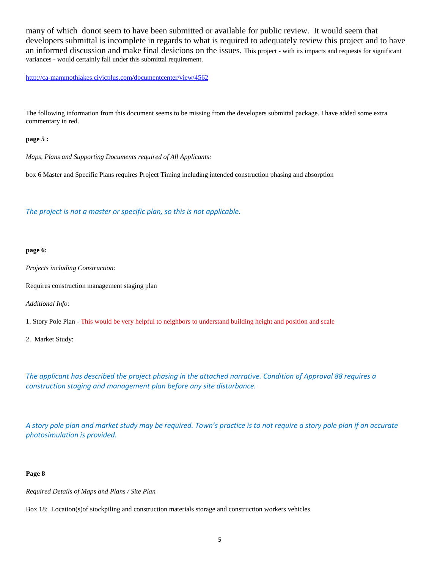many of which donot seem to have been submitted or available for public review. It would seem that developers submittal is incomplete in regards to what is required to adequately review this project and to have an informed discussion and make final desicions on the issues. This project - with its impacts and requests for significant variances - would certainly fall under this submittal requirement.

http://ca-mammothlakes.civicplus.com/documentcenter/view/4562

The following information from this document seems to be missing from the developers submittal package. I have added some extra commentary in red.

#### **page 5 :**

*Maps, Plans and Supporting Documents required of All Applicants:*

box 6 Master and Specific Plans requires Project Timing including intended construction phasing and absorption

*The project is not a master or specific plan, so this is not applicable.*

#### **page 6:**

*Projects including Construction:*

Requires construction management staging plan

*Additional Info:*

1. Story Pole Plan - This would be very helpful to neighbors to understand building height and position and scale

2. Market Study:

*The applicant has described the project phasing in the attached narrative. Condition of Approval 88 requires a construction staging and management plan before any site disturbance.*

*A story pole plan and market study may be required. Town's practice is to not require a story pole plan if an accurate photosimulation is provided.*

#### **Page 8**

*Required Details of Maps and Plans / Site Plan*

Box 18: Location(s)of stockpiling and construction materials storage and construction workers vehicles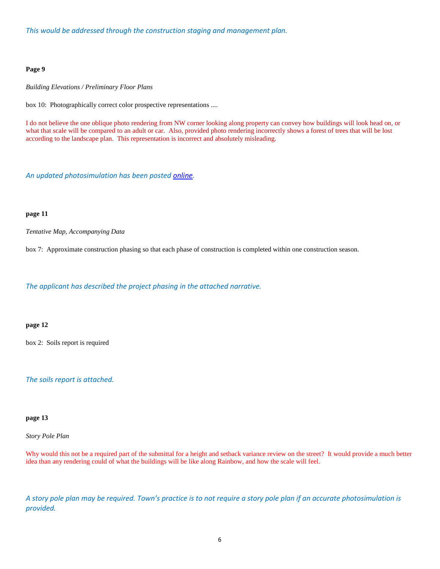*This would be addressed through the construction staging and management plan.*

### **Page 9**

*Building Elevations / Preliminary Floor Plans*

box 10: Photographically correct color prospective representations ....

I do not believe the one oblique photo rendering from NW corner looking along property can convey how buildings will look head on, or what that scale will be compared to an adult or car. Also, provided photo rendering incorrectly shows a forest of trees that will be lost according to the landscape plan. This representation is incorrect and absolutely misleading.

*An updated photosimulation has been posted online.*

### **page 11**

*Tentative Map, Accompanying Data*

box 7: Approximate construction phasing so that each phase of construction is completed within one construction season.

*The applicant has described the project phasing in the attached narrative.*

#### **page 12**

box 2: Soils report is required

*The soils report is attached.*

### **page 13**

*Story Pole Plan*

Why would this not be a required part of the submittal for a height and setback variance review on the street? It would provide a much better idea than any rendering could of what the buildings will be like along Rainbow, and how the scale will feel.

*A story pole plan may be required. Town's practice is to not require a story pole plan if an accurate photosimulation is provided.*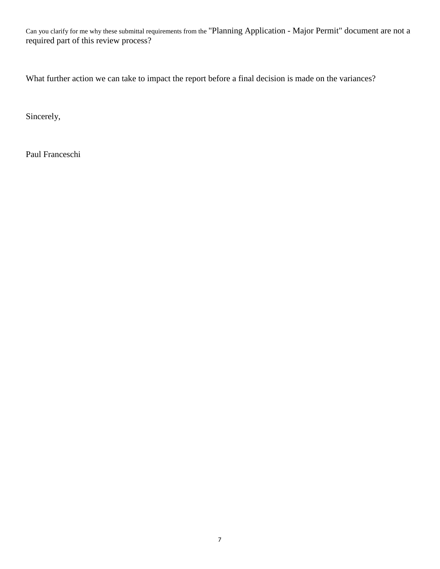Can you clarify for me why these submittal requirements from the "Planning Application - Major Permit" document are not a required part of this review process?

What further action we can take to impact the report before a final decision is made on the variances?

Sincerely,

Paul Franceschi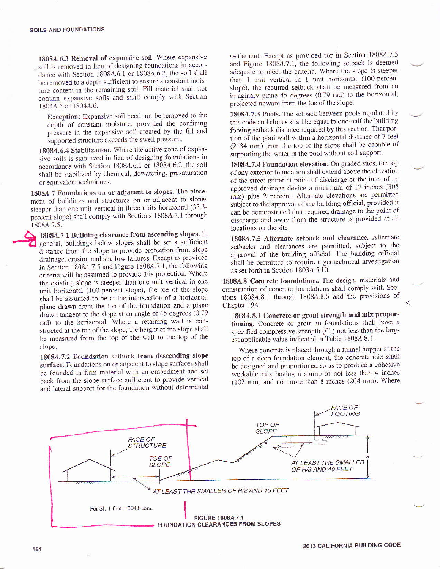1808A.6.3 Removal of expansive soil. Where expansive soil is removed in lieu of designing foundations in accordance with Section 1808A.6.1 or 1808A.6.2, the soil shall be removed to a depth sufficient to ensure a constant moisture content in the remaining soil. Fill material shall not contain expansive soils and shall comply with Section 1804A.5 or 1804A.6.

Exception: Expansive soil need not be removed to the depth of constant moisture, provided the confining pressure in the expansive soil created by the fill and supported structure exceeds the swell pressure.

1808A.6.4 Stabilization. Where the active zone of expansive soils is stabilized in lieu of designing foundations in accordance with Section 1808A.6.1 or 1808A.6.2, the soil shall be stabilized by chemical, dewatering, presaturation or equivalent techniques.

1808A.7 Foundations on or adjacent to slopes. The placement of buildings and structures on or adjacent to slopes steeper than one unit vertical in three units horizontal (33.3percent slope) shall comply with Sections 1808A.7.1 through 1808A.7.5.

1808A.7.1 Building clearance from ascending slopes. In general, buildings below slopes shall be set a sufficient distance from the slope to provide protection from slope drainage, erosion and shallow failures. Except as provided in Section 1808A.7.5 and Figure 1808A.7.1, the following criteria will be assumed to provide this protection. Where the existing slope is steeper than one unit vertical in one unit horizontal (100-percent slope), the toe of the slope shall be assumed to be at the intersection of a horizontal plane drawn from the top of the foundation and a plane drawn tangent to the slope at an angle of 45 degrees (0.79 rad) to the horizontal. Where a retaining wall is constructed at the toe of the slope, the height of the slope shall be measured from the top of the wall to the top of the slope.

1808A.7.2 Foundation setback from descending slope surface. Foundations on or adjacent to slope surfaces shall be founded in firm material with an embedment and set back from the slope surface sufficient to provide vertical and lateral support for the foundation without detrimental

settlement. Except as provided for in Section 1808A.7.5 and Figure 1808A.7.1, the following setback is deemed adequate to meet the criteria. Where the slope is steeper than 1 unit vertical in 1 unit horizontal (100-percent slope), the required setback shall be measured from an imaginary plane 45 degrees (0.79 rad) to the horizontal, projected upward from the toe of the slope.

1808A.7.3 Pools. The setback between pools regulated by this code and slopes shall be equal to one-half the building footing setback distance required by this section. That portion of the pool wall within a horizontal distance of 7 feet (2134 mm) from the top of the slope shall be capable of supporting the water in the pool without soil support.

1808A.7.4 Foundation elevation. On graded sites, the top of any exterior foundation shall extend above the elevation of the street gutter at point of discharge or the inlet of an approved drainage device a minimum of 12 inches (305 mm) plus 2 percent. Alternate elevations are permitted subject to the approval of the building official, provided it can be demonstrated that required drainage to the point of discharge and away from the structure is provided at all locations on the site.

1808A.7.5 Alternate setback and clearance. Alternate setbacks and clearances are permitted, subject to the approval of the building official. The building official shall be permitted to require a geotechnical investigation as set forth in Section 1803A.5.10.

1808A.8 Concrete foundations. The design, materials and construction of concrete foundations shall comply with Sections 1808A.8.1 through 1808A.8.6 and the provisions of Chapter 19A.

1808A.8.1 Concrete or grout strength and mix proportioning. Concrete or grout in foundations shall have a specified compressive strength  $(f'_c)$  not less than the largest applicable value indicated in Table 1808A.8.1.

Where concrete is placed through a funnel hopper at the top of a deep foundation element, the concrete mix shall be designed and proportioned so as to produce a cohesive workable mix having a slump of not less than 4 inches (102 mm) and not more than 8 inches (204 mm). Where